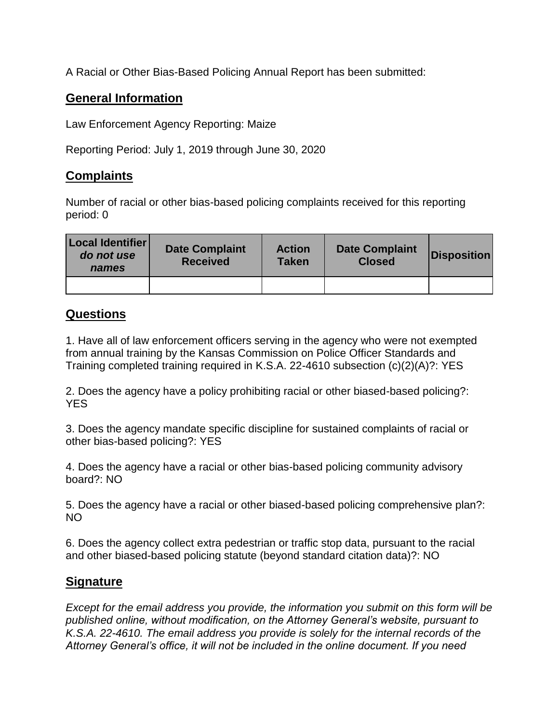A Racial or Other Bias-Based Policing Annual Report has been submitted:

## **General Information**

Law Enforcement Agency Reporting: Maize

Reporting Period: July 1, 2019 through June 30, 2020

## **Complaints**

Number of racial or other bias-based policing complaints received for this reporting period: 0

| Local Identifier<br>do not use<br>names | <b>Date Complaint</b><br><b>Received</b> | <b>Action</b><br><b>Taken</b> | <b>Date Complaint</b><br><b>Closed</b> | <b>Disposition</b> |
|-----------------------------------------|------------------------------------------|-------------------------------|----------------------------------------|--------------------|
|                                         |                                          |                               |                                        |                    |

## **Questions**

1. Have all of law enforcement officers serving in the agency who were not exempted from annual training by the Kansas Commission on Police Officer Standards and Training completed training required in K.S.A. 22-4610 subsection (c)(2)(A)?: YES

2. Does the agency have a policy prohibiting racial or other biased-based policing?: YES

3. Does the agency mandate specific discipline for sustained complaints of racial or other bias-based policing?: YES

4. Does the agency have a racial or other bias-based policing community advisory board?: NO

5. Does the agency have a racial or other biased-based policing comprehensive plan?: NO

6. Does the agency collect extra pedestrian or traffic stop data, pursuant to the racial and other biased-based policing statute (beyond standard citation data)?: NO

## **Signature**

*Except for the email address you provide, the information you submit on this form will be published online, without modification, on the Attorney General's website, pursuant to K.S.A. 22-4610. The email address you provide is solely for the internal records of the Attorney General's office, it will not be included in the online document. If you need*